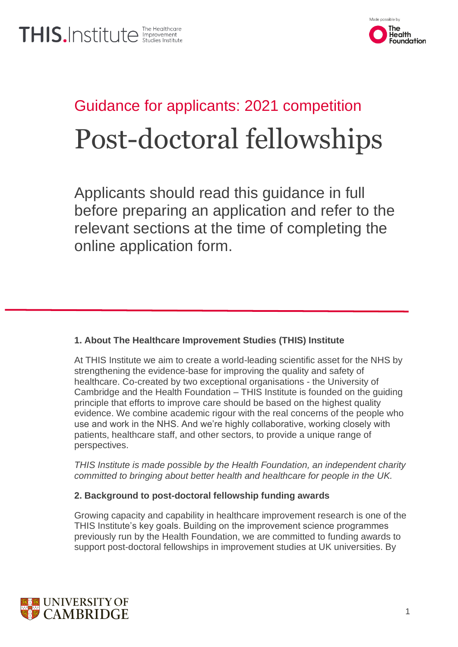

# Guidance for applicants: 2021 competition Post-doctoral fellowships

Applicants should read this guidance in full before preparing an application and refer to the relevant sections at the time of completing the online application form.

## **1. About The Healthcare Improvement Studies (THIS) Institute**

At THIS Institute we aim to create a world-leading scientific asset for the NHS by strengthening the evidence-base for improving the quality and safety of healthcare. Co-created by two exceptional organisations - the University of Cambridge and the Health Foundation – THIS Institute is founded on the guiding principle that efforts to improve care should be based on the highest quality evidence. We combine academic rigour with the real concerns of the people who use and work in the NHS. And we're highly collaborative, working closely with patients, healthcare staff, and other sectors, to provide a unique range of perspectives.

*THIS Institute is made possible by the Health Foundation, an independent charity committed to bringing about better health and healthcare for people in the UK.*

### **2. Background to post-doctoral fellowship funding awards**

Growing capacity and capability in healthcare improvement research is one of the THIS Institute's key goals. Building on the improvement science programmes previously run by the Health Foundation, we are committed to funding awards to support post-doctoral fellowships in improvement studies at UK universities. By

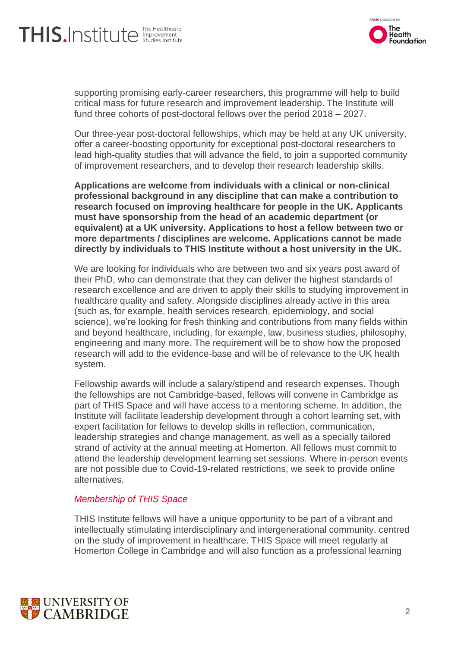# THIS.Institute **Instruction**



supporting promising early-career researchers, this programme will help to build critical mass for future research and improvement leadership. The Institute will fund three cohorts of post-doctoral fellows over the period 2018 – 2027.

Our three-year post-doctoral fellowships, which may be held at any UK university, offer a career-boosting opportunity for exceptional post-doctoral researchers to lead high-quality studies that will advance the field, to join a supported community of improvement researchers, and to develop their research leadership skills.

**Applications are welcome from individuals with a clinical or non-clinical professional background in any discipline that can make a contribution to research focused on improving healthcare for people in the UK. Applicants must have sponsorship from the head of an academic department (or equivalent) at a UK university. Applications to host a fellow between two or more departments / disciplines are welcome. Applications cannot be made directly by individuals to THIS Institute without a host university in the UK.**

We are looking for individuals who are between two and six years post award of their PhD, who can demonstrate that they can deliver the highest standards of research excellence and are driven to apply their skills to studying improvement in healthcare quality and safety. Alongside disciplines already active in this area (such as, for example, health services research, epidemiology, and social science), we're looking for fresh thinking and contributions from many fields within and beyond healthcare, including, for example, law, business studies, philosophy, engineering and many more. The requirement will be to show how the proposed research will add to the evidence-base and will be of relevance to the UK health system.

Fellowship awards will include a salary/stipend and research expenses. Though the fellowships are not Cambridge-based, fellows will convene in Cambridge as part of THIS Space and will have access to a mentoring scheme. In addition, the Institute will facilitate leadership development through a cohort learning set, with expert facilitation for fellows to develop skills in reflection, communication, leadership strategies and change management, as well as a specially tailored strand of activity at the annual meeting at Homerton. All fellows must commit to attend the leadership development learning set sessions. Where in-person events are not possible due to Covid-19-related restrictions, we seek to provide online alternatives.

#### *Membership of THIS Space*

THIS Institute fellows will have a unique opportunity to be part of a vibrant and intellectually stimulating interdisciplinary and intergenerational community, centred on the study of improvement in healthcare. THIS Space will meet regularly at Homerton College in Cambridge and will also function as a professional learning

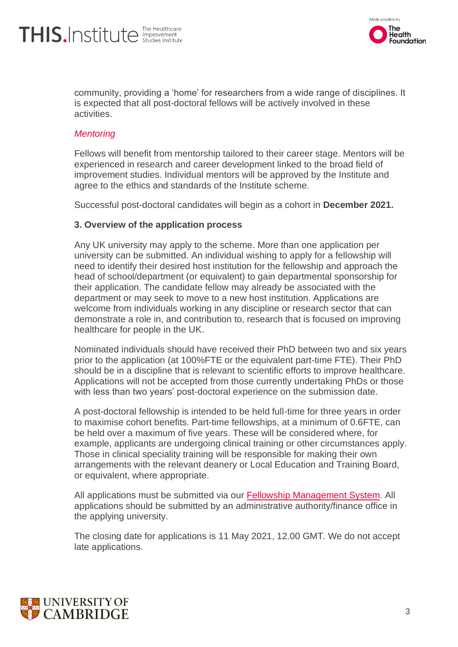# THIS.Institute **Instruction**



community, providing a 'home' for researchers from a wide range of disciplines. It is expected that all post-doctoral fellows will be actively involved in these activities.

### *Mentoring*

Fellows will benefit from mentorship tailored to their career stage. Mentors will be experienced in research and career development linked to the broad field of improvement studies. Individual mentors will be approved by the Institute and agree to the ethics and standards of the Institute scheme.

Successful post-doctoral candidates will begin as a cohort in **December 2021.**

#### **3. Overview of the application process**

Any UK university may apply to the scheme. More than one application per university can be submitted. An individual wishing to apply for a fellowship will need to identify their desired host institution for the fellowship and approach the head of school/department (or equivalent) to gain departmental sponsorship for their application. The candidate fellow may already be associated with the department or may seek to move to a new host institution. Applications are welcome from individuals working in any discipline or research sector that can demonstrate a role in, and contribution to, research that is focused on improving healthcare for people in the UK.

Nominated individuals should have received their PhD between two and six years prior to the application (at 100%FTE or the equivalent part-time FTE). Their PhD should be in a discipline that is relevant to scientific efforts to improve healthcare. Applications will not be accepted from those currently undertaking PhDs or those with less than two years' post-doctoral experience on the submission date.

A post-doctoral fellowship is intended to be held full-time for three years in order to maximise cohort benefits. Part-time fellowships, at a minimum of 0.6FTE, can be held over a maximum of five years. These will be considered where, for example, applicants are undergoing clinical training or other circumstances apply. Those in clinical speciality training will be responsible for making their own arrangements with the relevant deanery or Local Education and Training Board, or equivalent, where appropriate.

All applications must be submitted via our [Fellowship Management System.](http://thisinstitute.ccgranttracker.com/) All applications should be submitted by an administrative authority/finance office in the applying university.

The closing date for applications is 11 May 2021, 12.00 GMT. We do not accept late applications.

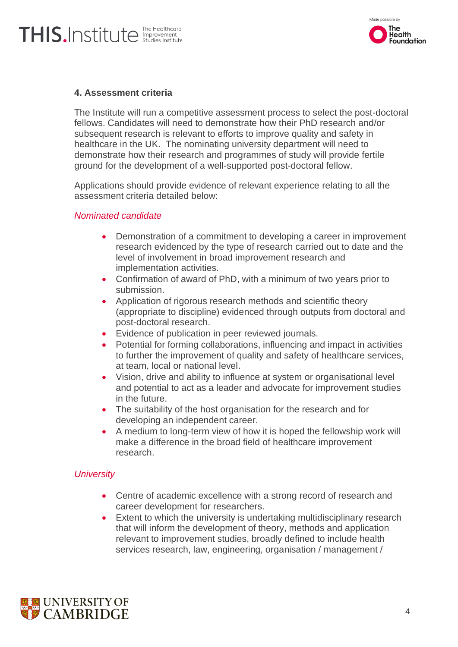

### **4. Assessment criteria**

The Institute will run a competitive assessment process to select the post-doctoral fellows. Candidates will need to demonstrate how their PhD research and/or subsequent research is relevant to efforts to improve quality and safety in healthcare in the UK. The nominating university department will need to demonstrate how their research and programmes of study will provide fertile ground for the development of a well-supported post-doctoral fellow.

Applications should provide evidence of relevant experience relating to all the assessment criteria detailed below:

#### *Nominated candidate*

- Demonstration of a commitment to developing a career in improvement research evidenced by the type of research carried out to date and the level of involvement in broad improvement research and implementation activities.
- Confirmation of award of PhD, with a minimum of two years prior to submission.
- Application of rigorous research methods and scientific theory (appropriate to discipline) evidenced through outputs from doctoral and post-doctoral research.
- Evidence of publication in peer reviewed journals.
- Potential for forming collaborations, influencing and impact in activities to further the improvement of quality and safety of healthcare services, at team, local or national level.
- Vision, drive and ability to influence at system or organisational level and potential to act as a leader and advocate for improvement studies in the future.
- The suitability of the host organisation for the research and for developing an independent career.
- A medium to long-term view of how it is hoped the fellowship work will make a difference in the broad field of healthcare improvement research.

#### *University*

- Centre of academic excellence with a strong record of research and career development for researchers.
- Extent to which the university is undertaking multidisciplinary research that will inform the development of theory, methods and application relevant to improvement studies, broadly defined to include health services research, law, engineering, organisation / management /

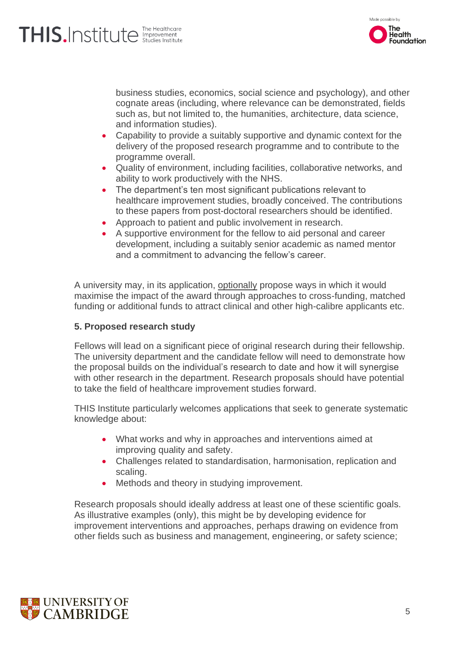

business studies, economics, social science and psychology), and other cognate areas (including, where relevance can be demonstrated, fields such as, but not limited to, the humanities, architecture, data science, and information studies).

- Capability to provide a suitably supportive and dynamic context for the delivery of the proposed research programme and to contribute to the programme overall.
- Quality of environment, including facilities, collaborative networks, and ability to work productively with the NHS.
- The department's ten most significant publications relevant to healthcare improvement studies, broadly conceived. The contributions to these papers from post-doctoral researchers should be identified.
- Approach to patient and public involvement in research.
- A supportive environment for the fellow to aid personal and career development, including a suitably senior academic as named mentor and a commitment to advancing the fellow's career.

A university may, in its application, optionally propose ways in which it would maximise the impact of the award through approaches to cross-funding, matched funding or additional funds to attract clinical and other high-calibre applicants etc.

#### **5. Proposed research study**

Fellows will lead on a significant piece of original research during their fellowship. The university department and the candidate fellow will need to demonstrate how the proposal builds on the individual's research to date and how it will synergise with other research in the department. Research proposals should have potential to take the field of healthcare improvement studies forward.

THIS Institute particularly welcomes applications that seek to generate systematic knowledge about:

- What works and why in approaches and interventions aimed at improving quality and safety.
- Challenges related to standardisation, harmonisation, replication and scaling.
- Methods and theory in studying improvement.

Research proposals should ideally address at least one of these scientific goals. As illustrative examples (only), this might be by developing evidence for improvement interventions and approaches, perhaps drawing on evidence from other fields such as business and management, engineering, or safety science;

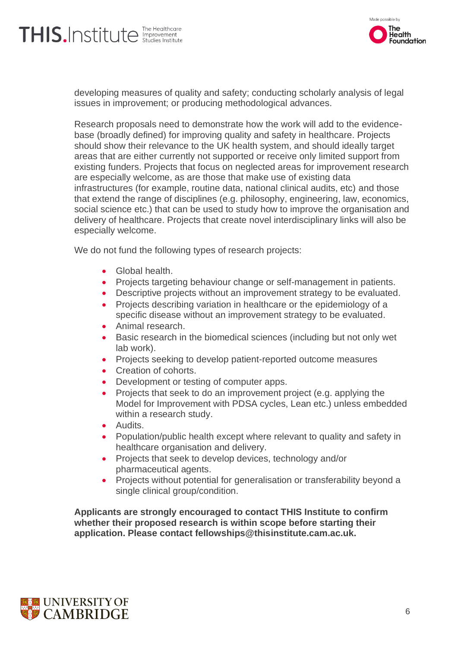# THIS.Institute **The Healthcare**



developing measures of quality and safety; conducting scholarly analysis of legal issues in improvement; or producing methodological advances.

Research proposals need to demonstrate how the work will add to the evidencebase (broadly defined) for improving quality and safety in healthcare. Projects should show their relevance to the UK health system, and should ideally target areas that are either currently not supported or receive only limited support from existing funders. Projects that focus on neglected areas for improvement research are especially welcome, as are those that make use of existing data infrastructures (for example, routine data, national clinical audits, etc) and those that extend the range of disciplines (e.g. philosophy, engineering, law, economics, social science etc.) that can be used to study how to improve the organisation and delivery of healthcare. Projects that create novel interdisciplinary links will also be especially welcome.

We do not fund the following types of research projects:

- Global health.
- Projects targeting behaviour change or self-management in patients.
- Descriptive projects without an improvement strategy to be evaluated.
- Projects describing variation in healthcare or the epidemiology of a specific disease without an improvement strategy to be evaluated.
- Animal research.
- Basic research in the biomedical sciences (including but not only wet lab work).
- Projects seeking to develop patient-reported outcome measures
- Creation of cohorts.
- Development or testing of computer apps.
- Projects that seek to do an improvement project (e.g. applying the Model for Improvement with PDSA cycles, Lean etc.) unless embedded within a research study.
- Audits.
- Population/public health except where relevant to quality and safety in healthcare organisation and delivery.
- Projects that seek to develop devices, technology and/or pharmaceutical agents.
- Projects without potential for generalisation or transferability beyond a single clinical group/condition.

**Applicants are strongly encouraged to contact THIS Institute to confirm whether their proposed research is within scope before starting their application. Please contact fellowships@thisinstitute.cam.ac.uk.**

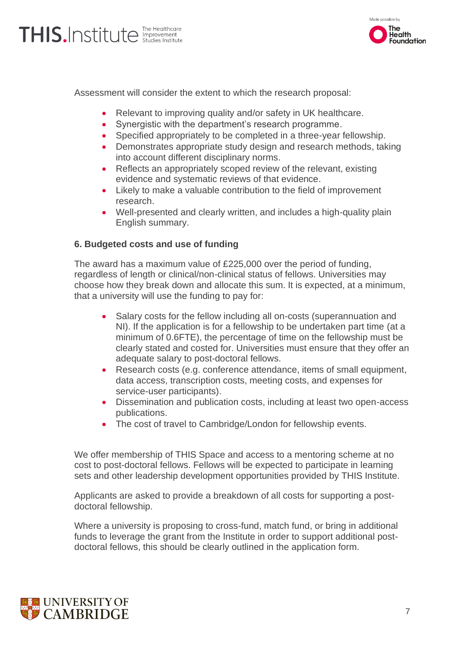

Assessment will consider the extent to which the research proposal:

- Relevant to improving quality and/or safety in UK healthcare.
- Synergistic with the department's research programme.
- Specified appropriately to be completed in a three-year fellowship.
- Demonstrates appropriate study design and research methods, taking into account different disciplinary norms.
- Reflects an appropriately scoped review of the relevant, existing evidence and systematic reviews of that evidence.
- Likely to make a valuable contribution to the field of improvement research.
- Well-presented and clearly written, and includes a high-quality plain English summary.

#### **6. Budgeted costs and use of funding**

The award has a maximum value of £225,000 over the period of funding, regardless of length or clinical/non-clinical status of fellows. Universities may choose how they break down and allocate this sum. It is expected, at a minimum, that a university will use the funding to pay for:

- Salary costs for the fellow including all on-costs (superannuation and NI). If the application is for a fellowship to be undertaken part time (at a minimum of 0.6FTE), the percentage of time on the fellowship must be clearly stated and costed for. Universities must ensure that they offer an adequate salary to post-doctoral fellows.
- Research costs (e.g. conference attendance, items of small equipment, data access, transcription costs, meeting costs, and expenses for service-user participants).
- Dissemination and publication costs, including at least two open-access publications.
- The cost of travel to Cambridge/London for fellowship events.

We offer membership of THIS Space and access to a mentoring scheme at no cost to post-doctoral fellows. Fellows will be expected to participate in learning sets and other leadership development opportunities provided by THIS Institute.

Applicants are asked to provide a breakdown of all costs for supporting a postdoctoral fellowship.

Where a university is proposing to cross-fund, match fund, or bring in additional funds to leverage the grant from the Institute in order to support additional postdoctoral fellows, this should be clearly outlined in the application form.

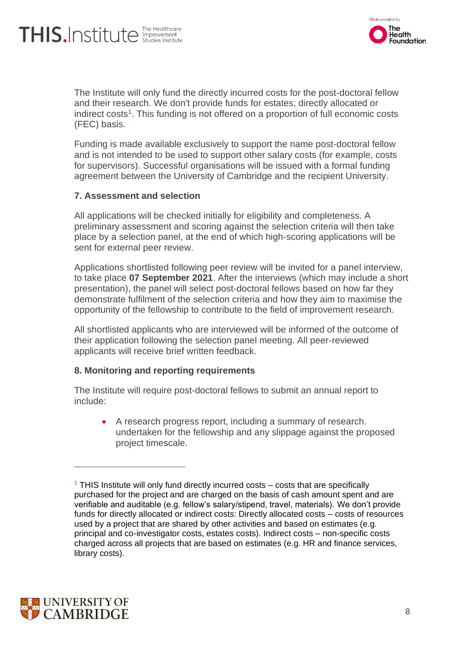# THIS.Institute **The Healthcare**



The Institute will only fund the directly incurred costs for the post-doctoral fellow and their research. We don't provide funds for estates; directly allocated or indirect costs<sup>1</sup>. This funding is not offered on a proportion of full economic costs (FEC) basis.

Funding is made available exclusively to support the name post-doctoral fellow and is not intended to be used to support other salary costs (for example, costs for supervisors). Successful organisations will be issued with a formal funding agreement between the University of Cambridge and the recipient University.

#### **7. Assessment and selection**

All applications will be checked initially for eligibility and completeness. A preliminary assessment and scoring against the selection criteria will then take place by a selection panel, at the end of which high-scoring applications will be sent for external peer review.

Applications shortlisted following peer review will be invited for a panel interview, to take place **07 September 2021**. After the interviews (which may include a short presentation), the panel will select post-doctoral fellows based on how far they demonstrate fulfilment of the selection criteria and how they aim to maximise the opportunity of the fellowship to contribute to the field of improvement research.

All shortlisted applicants who are interviewed will be informed of the outcome of their application following the selection panel meeting. All peer-reviewed applicants will receive brief written feedback.

### **8. Monitoring and reporting requirements**

The Institute will require post-doctoral fellows to submit an annual report to include:

• A research progress report, including a summary of research. undertaken for the fellowship and any slippage against the proposed project timescale.



 $<sup>1</sup>$  THIS Institute will only fund directly incurred costs – costs that are specifically</sup> purchased for the project and are charged on the basis of cash amount spent and are verifiable and auditable (e.g. fellow's salary/stipend, travel, materials). We don't provide funds for directly allocated or indirect costs: Directly allocated costs – costs of resources used by a project that are shared by other activities and based on estimates (e.g. principal and co-investigator costs, estates costs). Indirect costs – non-specific costs charged across all projects that are based on estimates (e.g. HR and finance services, library costs).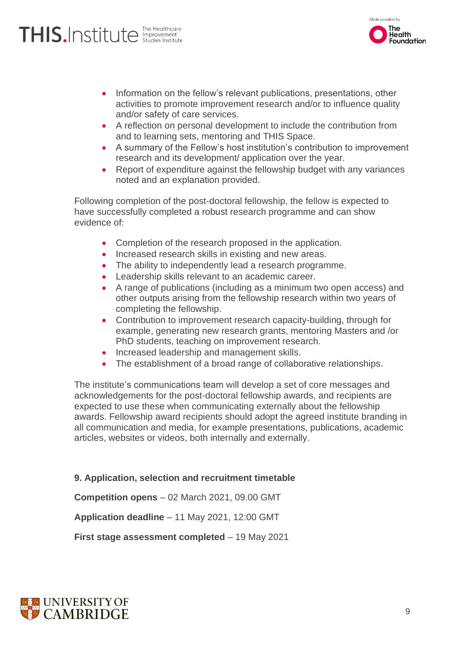# THIS.Institute **The Healthcare**



- Information on the fellow's relevant publications, presentations, other activities to promote improvement research and/or to influence quality and/or safety of care services.
- A reflection on personal development to include the contribution from and to learning sets, mentoring and THIS Space.
- A summary of the Fellow's host institution's contribution to improvement research and its development/ application over the year.
- Report of expenditure against the fellowship budget with any variances noted and an explanation provided.

Following completion of the post-doctoral fellowship, the fellow is expected to have successfully completed a robust research programme and can show evidence of:

- Completion of the research proposed in the application.
- Increased research skills in existing and new areas.
- The ability to independently lead a research programme.
- Leadership skills relevant to an academic career.
- A range of publications (including as a minimum two open access) and other outputs arising from the fellowship research within two years of completing the fellowship.
- Contribution to improvement research capacity-building, through for example, generating new research grants, mentoring Masters and /or PhD students, teaching on improvement research.
- Increased leadership and management skills.
- The establishment of a broad range of collaborative relationships.

The institute's communications team will develop a set of core messages and acknowledgements for the post-doctoral fellowship awards, and recipients are expected to use these when communicating externally about the fellowship awards. Fellowship award recipients should adopt the agreed institute branding in all communication and media, for example presentations, publications, academic articles, websites or videos, both internally and externally.

### **9. Application, selection and recruitment timetable**

**Competition opens** – 02 March 2021, 09.00 GMT

**Application deadline** – 11 May 2021, 12:00 GMT

**First stage assessment completed** – 19 May 2021